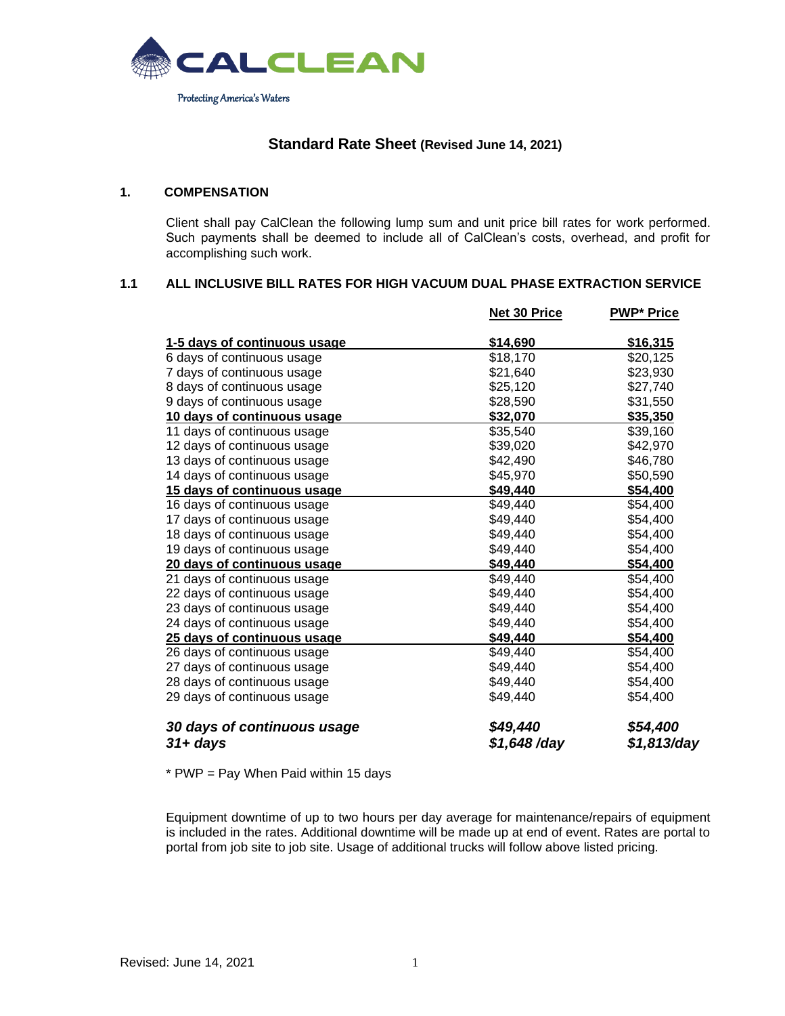

# **Standard Rate Sheet (Revised June 14, 2021)**

# **1. COMPENSATION**

Client shall pay CalClean the following lump sum and unit price bill rates for work performed. Such payments shall be deemed to include all of CalClean's costs, overhead, and profit for accomplishing such work.

# **1.1 ALL INCLUSIVE BILL RATES FOR HIGH VACUUM DUAL PHASE EXTRACTION SERVICE**

|                              | Net 30 Price  | <b>PWP* Price</b> |
|------------------------------|---------------|-------------------|
| 1-5 days of continuous usage | \$14,690      | \$16,315          |
| 6 days of continuous usage   | \$18,170      | \$20,125          |
| 7 days of continuous usage   | \$21,640      | \$23,930          |
| 8 days of continuous usage   | \$25,120      | \$27,740          |
| 9 days of continuous usage   | \$28,590      | \$31,550          |
| 10 days of continuous usage  | \$32,070      | \$35,350          |
| 11 days of continuous usage  | \$35,540      | \$39,160          |
| 12 days of continuous usage  | \$39,020      | \$42,970          |
| 13 days of continuous usage  | \$42,490      | \$46,780          |
| 14 days of continuous usage  | \$45,970      | \$50,590          |
| 15 days of continuous usage  | \$49,440      | \$54,400          |
| 16 days of continuous usage  | \$49,440      | \$54,400          |
| 17 days of continuous usage  | \$49,440      | \$54,400          |
| 18 days of continuous usage  | \$49,440      | \$54,400          |
| 19 days of continuous usage  | \$49,440      | \$54,400          |
| 20 days of continuous usage  | \$49,440      | \$54,400          |
| 21 days of continuous usage  | \$49,440      | \$54,400          |
| 22 days of continuous usage  | \$49,440      | \$54,400          |
| 23 days of continuous usage  | \$49,440      | \$54,400          |
| 24 days of continuous usage  | \$49,440      | \$54,400          |
| 25 days of continuous usage  | \$49,440      | \$54,400          |
| 26 days of continuous usage  | \$49,440      | \$54,400          |
| 27 days of continuous usage  | \$49,440      | \$54,400          |
| 28 days of continuous usage  | \$49,440      | \$54,400          |
| 29 days of continuous usage  | \$49,440      | \$54,400          |
| 30 days of continuous usage  | \$49,440      | \$54,400          |
| 31+ days                     | $$1,648$ /day | \$1,813/day       |

\* PWP = Pay When Paid within 15 days

Equipment downtime of up to two hours per day average for maintenance/repairs of equipment is included in the rates. Additional downtime will be made up at end of event. Rates are portal to portal from job site to job site. Usage of additional trucks will follow above listed pricing.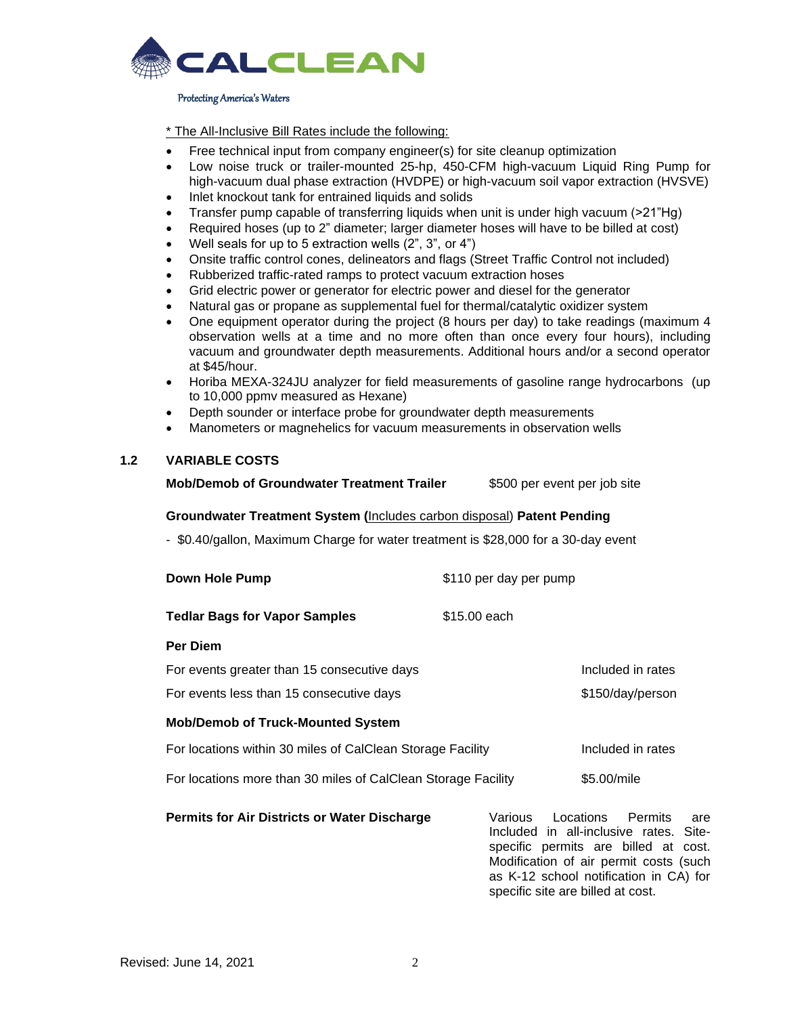

#### Protecting America's Waters

\* The All-Inclusive Bill Rates include the following:

- Free technical input from company engineer(s) for site cleanup optimization
- Low noise truck or trailer-mounted 25-hp, 450-CFM high-vacuum Liquid Ring Pump for high-vacuum dual phase extraction (HVDPE) or high-vacuum soil vapor extraction (HVSVE)
- Inlet knockout tank for entrained liquids and solids
- Transfer pump capable of transferring liquids when unit is under high vacuum (>21"Hg)
- Required hoses (up to 2" diameter; larger diameter hoses will have to be billed at cost)
- Well seals for up to 5 extraction wells  $(2^{\degree}, 3^{\degree},$  or  $4^{\degree})$
- Onsite traffic control cones, delineators and flags (Street Traffic Control not included)
- Rubberized traffic-rated ramps to protect vacuum extraction hoses
- Grid electric power or generator for electric power and diesel for the generator
- Natural gas or propane as supplemental fuel for thermal/catalytic oxidizer system
- One equipment operator during the project (8 hours per day) to take readings (maximum 4 observation wells at a time and no more often than once every four hours), including vacuum and groundwater depth measurements. Additional hours and/or a second operator at \$45/hour.
- Horiba MEXA-324JU analyzer for field measurements of gasoline range hydrocarbons (up to 10,000 ppmv measured as Hexane)
- Depth sounder or interface probe for groundwater depth measurements
- Manometers or magnehelics for vacuum measurements in observation wells

# **1.2 VARIABLE COSTS**

**Mob/Demob of Groundwater Treatment Trailer** \$500 per event per job site

### **Groundwater Treatment System (**Includes carbon disposal) **Patent Pending**

- \$0.40/gallon, Maximum Charge for water treatment is \$28,000 for a 30-day event

| Down Hole Pump                                                | \$110 per day per pump                                                                                                                                          |
|---------------------------------------------------------------|-----------------------------------------------------------------------------------------------------------------------------------------------------------------|
| <b>Tedlar Bags for Vapor Samples</b>                          | \$15.00 each                                                                                                                                                    |
| <b>Per Diem</b>                                               |                                                                                                                                                                 |
| For events greater than 15 consecutive days                   | Included in rates                                                                                                                                               |
| For events less than 15 consecutive days                      | \$150/day/person                                                                                                                                                |
| <b>Mob/Demob of Truck-Mounted System</b>                      |                                                                                                                                                                 |
| For locations within 30 miles of CalClean Storage Facility    | Included in rates                                                                                                                                               |
| For locations more than 30 miles of CalClean Storage Facility | \$5.00/mile                                                                                                                                                     |
| <b>Permits for Air Districts or Water Discharge</b>           | Locations Permits<br>Various<br>are<br>Included in all-inclusive rates. Site-<br>specific permits are billed at cost.<br>Modification of air permit costs (such |

as K-12 school notification in CA) for

specific site are billed at cost.